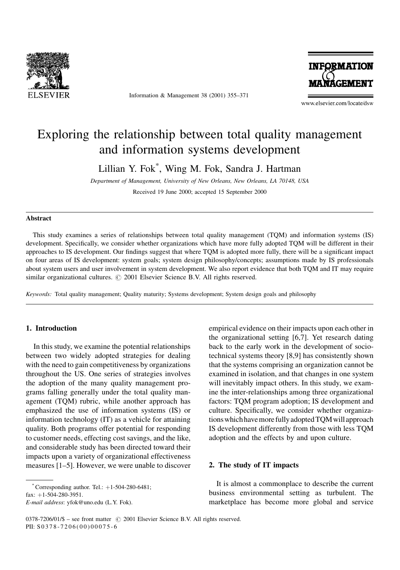

Information & Management 38 (2001) 355-371



www.elsevier.com/locate/dsw

## Exploring the relationship between total quality management and information systems development

Lillian Y. Fok\*, Wing M. Fok, Sandra J. Hartman

Department of Management, University of New Orleans, New Orleans, LA 70148, USA Received 19 June 2000; accepted 15 September 2000

#### **Abstract**

This study examines a series of relationships between total quality management (TOM) and information systems (IS) development. Specifically, we consider whether organizations which have more fully adopted TQM will be different in their approaches to IS development. Our findings suggest that where TQM is adopted more fully, there will be a significant impact on four areas of IS development: system goals; system design philosophy/concepts; assumptions made by IS professionals about system users and user involvement in system development. We also report evidence that both TQM and IT may require similar organizational cultures. © 2001 Elsevier Science B.V. All rights reserved.

Keywords: Total quality management; Quality maturity; Systems development; System design goals and philosophy

#### 1. Introduction

In this study, we examine the potential relationships between two widely adopted strategies for dealing with the need to gain competitiveness by organizations throughout the US. One series of strategies involves the adoption of the many quality management programs falling generally under the total quality management (TQM) rubric, while another approach has emphasized the use of information systems (IS) or information technology (IT) as a vehicle for attaining quality. Both programs offer potential for responding to customer needs, effecting cost savings, and the like, and considerable study has been directed toward their impacts upon a variety of organizational effectiveness measures [1–5]. However, we were unable to discover

fax:  $+1-504-280-3951$ .

E-mail address: yfok@uno.edu (L.Y. Fok).

empirical evidence on their impacts upon each other in the organizational setting [6,7]. Yet research dating back to the early work in the development of sociotechnical systems theory [8,9] has consistently shown that the systems comprising an organization cannot be examined in isolation, and that changes in one system will inevitably impact others. In this study, we examine the inter-relationships among three organizational factors: TQM program adoption; IS development and culture. Specifically, we consider whether organizations which have more fully adopted TQM will approach IS development differently from those with less TQM adoption and the effects by and upon culture.

#### 2. The study of IT impacts

It is almost a commonplace to describe the current business environmental setting as turbulent. The marketplace has become more global and service

Corresponding author. Tel.:  $+1-504-280-6481$ ;

<sup>0378-7206/01/\$ -</sup> see front matter © 2001 Elsevier Science B.V. All rights reserved. PII: S0378-7206(00)00075-6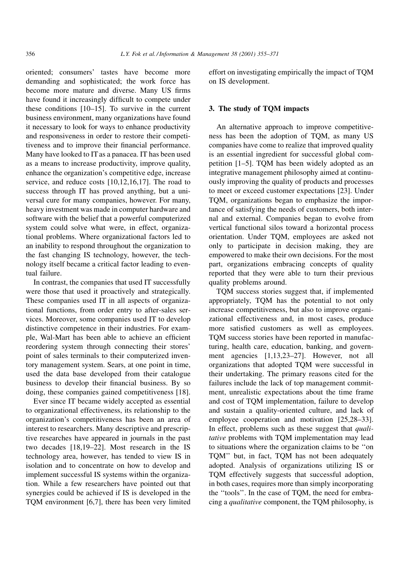oriented; consumers' tastes have become more demanding and sophisticated; the work force has become more mature and diverse. Many US firms have found it increasingly difficult to compete under these conditions  $[10-15]$ . To survive in the current business environment, many organizations have found it necessary to look for ways to enhance productivity and responsiveness in order to restore their competitiveness and to improve their financial performance. Many have looked to IT as a panacea. IT has been used as a means to increase productivity, improve quality, enhance the organization's competitive edge, increase service, and reduce costs  $[10, 12, 16, 17]$ . The road to success through IT has proved anything, but a universal cure for many companies, however. For many, heavy investment was made in computer hardware and software with the belief that a powerful computerized system could solve what were, in effect, organizational problems. Where organizational factors led to an inability to respond throughout the organization to the fast changing IS technology, however, the technology itself became a critical factor leading to eventual failure.

In contrast, the companies that used IT successfully were those that used it proactively and strategically. These companies used IT in all aspects of organizational functions, from order entry to after-sales services. Moreover, some companies used IT to develop distinctive competence in their industries. For example. Wal-Mart has been able to achieve an efficient reordering system through connecting their stores' point of sales terminals to their computerized inventory management system. Sears, at one point in time, used the data base developed from their catalogue business to develop their financial business. By so doing, these companies gained competitiveness [18].

Ever since IT became widely accepted as essential to organizational effectiveness, its relationship to the organization's competitiveness has been an area of interest to researchers. Many descriptive and prescriptive researches have appeared in journals in the past two decades [18,19-22]. Most research in the IS technology area, however, has tended to view IS in isolation and to concentrate on how to develop and implement successful IS systems within the organization. While a few researchers have pointed out that synergies could be achieved if IS is developed in the TQM environment [6,7], there has been very limited

effort on investigating empirically the impact of TOM on IS development.

### 3. The study of TQM impacts

An alternative approach to improve competitiveness has been the adoption of TQM, as many US companies have come to realize that improved quality is an essential ingredient for successful global competition [1–5]. TQM has been widely adopted as an integrative management philosophy aimed at continuously improving the quality of products and processes to meet or exceed customer expectations [23]. Under TQM, organizations began to emphasize the importance of satisfying the needs of customers, both internal and external. Companies began to evolve from vertical functional silos toward a horizontal process orientation. Under TQM, employees are asked not only to participate in decision making, they are empowered to make their own decisions. For the most part, organizations embracing concepts of quality reported that they were able to turn their previous quality problems around.

TQM success stories suggest that, if implemented appropriately, TQM has the potential to not only increase competitiveness, but also to improve organizational effectiveness and, in most cases, produce more satisfied customers as well as employees. TQM success stories have been reported in manufacturing, health care, education, banking, and government agencies [1,13,23-27]. However, not all organizations that adopted TOM were successful in their undertaking. The primary reasons cited for the failures include the lack of top management commitment, unrealistic expectations about the time frame and cost of TQM implementation, failure to develop and sustain a quality-oriented culture, and lack of employee cooperation and motivation [25,28–33]. In effect, problems such as these suggest that *quali*tative problems with TQM implementation may lead to situations where the organization claims to be "on TQM" but, in fact, TQM has not been adequately adopted. Analysis of organizations utilizing IS or TQM effectively suggests that successful adoption, in both cases, requires more than simply incorporating the "tools". In the case of TQM, the need for embracing a qualitative component, the TQM philosophy, is